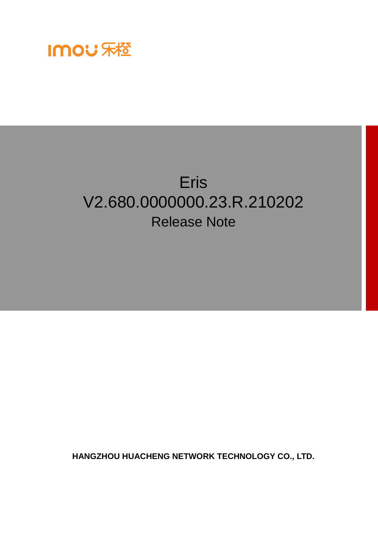

# Eris V2.680.0000000.23.R.210202 Release Note

**HANGZHOU HUACHENG NETWORK TECHNOLOGY CO., LTD.**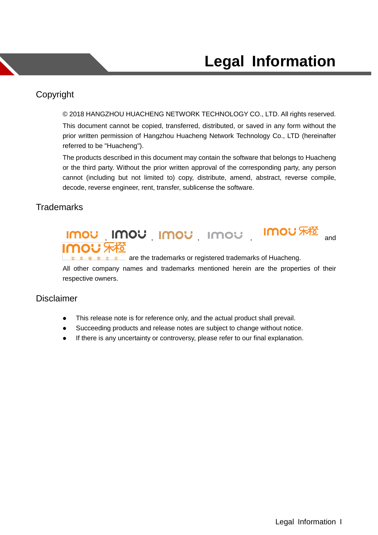### <span id="page-1-0"></span>Copyright

© 2018 HANGZHOU HUACHENG NETWORK TECHNOLOGY CO., LTD. All rights reserved. This document cannot be copied, transferred, distributed, or saved in any form without the

prior written permission of Hangzhou Huacheng Network Technology Co., LTD (hereinafter referred to be "Huacheng").

The products described in this document may contain the software that belongs to Huacheng or the third party. Without the prior written approval of the corresponding party, any person cannot (including but not limited to) copy, distribute, amend, abstract, reverse compile, decode, reverse engineer, rent, transfer, sublicense the software.

### **Trademarks**



All other company names and trademarks mentioned herein are the properties of their respective owners.

#### **Disclaimer**

- This release note is for reference only, and the actual product shall prevail.
- Succeeding products and release notes are subject to change without notice.
- If there is any uncertainty or controversy, please refer to our final explanation.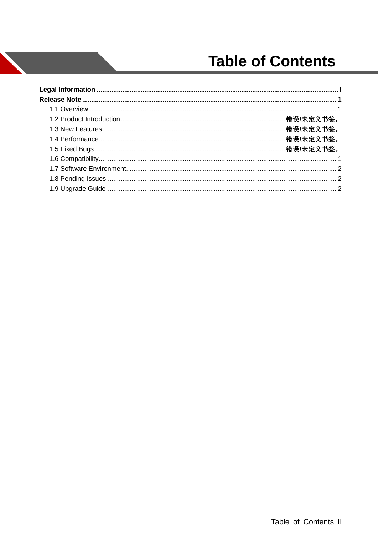# **Table of Contents**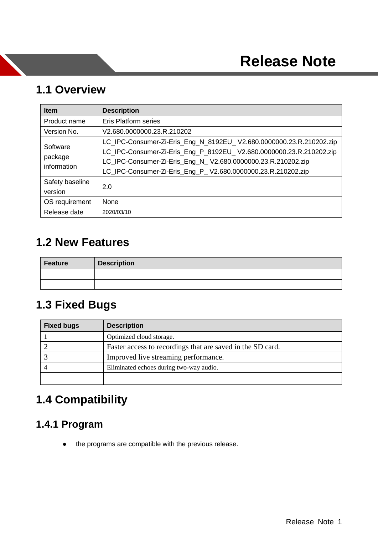### <span id="page-3-1"></span><span id="page-3-0"></span>**1.1 Overview**

| <b>Item</b>                        | <b>Description</b>                                                                                                                                                                                                                                                         |  |  |
|------------------------------------|----------------------------------------------------------------------------------------------------------------------------------------------------------------------------------------------------------------------------------------------------------------------------|--|--|
| Product name                       | <b>Eris Platform series</b>                                                                                                                                                                                                                                                |  |  |
| Version No.                        | V2.680.0000000.23.R.210202                                                                                                                                                                                                                                                 |  |  |
| Software<br>package<br>information | LC_IPC-Consumer-Zi-Eris_Eng_N_8192EU_V2.680.0000000.23.R.210202.zip<br>LC_IPC-Consumer-Zi-Eris_Eng_P_8192EU_V2.680.0000000.23.R.210202.zip<br>LC_IPC-Consumer-Zi-Eris_Eng_N_V2.680.0000000.23.R.210202.zip<br>LC_IPC-Consumer-Zi-Eris_Eng_P_V2.680.0000000.23.R.210202.zip |  |  |
| Safety baseline<br>version         | 2.0                                                                                                                                                                                                                                                                        |  |  |
| OS requirement                     | None                                                                                                                                                                                                                                                                       |  |  |
| Release date                       | 2020/03/10                                                                                                                                                                                                                                                                 |  |  |

# <span id="page-3-2"></span>**1.2 New Features**

| <b>Feature</b> | <b>Description</b> |  |
|----------------|--------------------|--|
|                |                    |  |
|                |                    |  |

# **1.3 Fixed Bugs**

| <b>Fixed bugs</b> | <b>Description</b>                                         |
|-------------------|------------------------------------------------------------|
|                   | Optimized cloud storage.                                   |
|                   | Faster access to recordings that are saved in the SD card. |
|                   | Improved live streaming performance.                       |
|                   | Eliminated echoes during two-way audio.                    |
|                   |                                                            |

# **1.4 Compatibility**

### **1.4.1 Program**

• the programs are compatible with the previous release.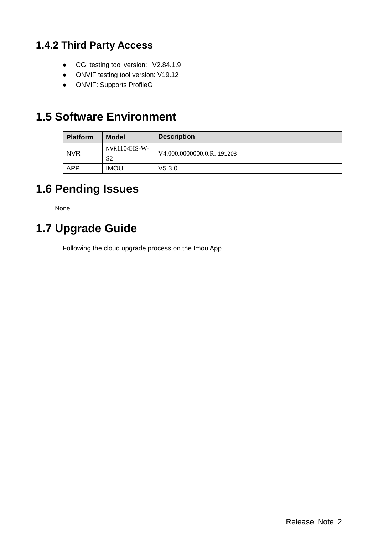## **1.4.2 Third Party Access**

- CGI testing tool version: V2.84.1.9
- ONVIF testing tool version: V19.12
- ONVIF: Supports ProfileG

# <span id="page-4-0"></span>**1.5 Software Environment**

| <b>Platform</b> | <b>Model</b>                     | <b>Description</b>         |
|-----------------|----------------------------------|----------------------------|
| <b>NVR</b>      | $NVR1104HS-W-$<br>S <sub>2</sub> | V4.000.0000000.0.R. 191203 |
| <b>APP</b>      | <b>IMOU</b>                      | V5.3.0                     |

# <span id="page-4-1"></span>**1.6 Pending Issues**

None

# <span id="page-4-2"></span>**1.7 Upgrade Guide**

Following the cloud upgrade process on the Imou App